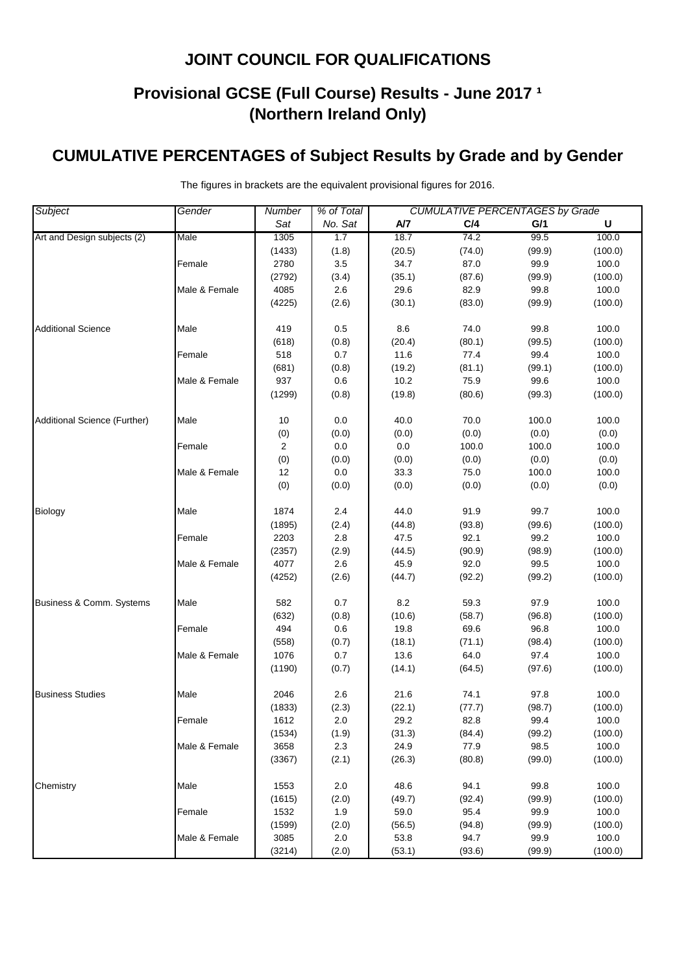# **Provisional GCSE (Full Course) Results - June 2017 <sup>1</sup> (Northern Ireland Only)**

### **CUMULATIVE PERCENTAGES of Subject Results by Grade and by Gender**

| Subject                      | Gender        | % of Total<br><b>CUMULATIVE PERCENTAGES by Grade</b><br><b>Number</b> |         |        |        |        |         |
|------------------------------|---------------|-----------------------------------------------------------------------|---------|--------|--------|--------|---------|
|                              |               | Sat                                                                   | No. Sat | A/7    | C/4    | G/1    | U       |
| Art and Design subjects (2)  | Male          | 1305                                                                  | 1.7     | 18.7   | 74.2   | 99.5   | 100.0   |
|                              |               | (1433)                                                                | (1.8)   | (20.5) | (74.0) | (99.9) | (100.0) |
|                              | Female        | 2780                                                                  | 3.5     | 34.7   | 87.0   | 99.9   | 100.0   |
|                              |               | (2792)                                                                | (3.4)   | (35.1) | (87.6) | (99.9) | (100.0) |
|                              | Male & Female | 4085                                                                  | 2.6     | 29.6   | 82.9   | 99.8   | 100.0   |
|                              |               | (4225)                                                                | (2.6)   | (30.1) | (83.0) | (99.9) | (100.0) |
| <b>Additional Science</b>    | Male          | 419                                                                   | 0.5     | 8.6    | 74.0   | 99.8   | 100.0   |
|                              |               | (618)                                                                 | (0.8)   | (20.4) | (80.1) | (99.5) | (100.0) |
|                              | Female        | 518                                                                   | 0.7     | 11.6   | 77.4   | 99.4   | 100.0   |
|                              |               | (681)                                                                 | (0.8)   | (19.2) | (81.1) | (99.1) | (100.0) |
|                              | Male & Female | 937                                                                   | 0.6     | 10.2   | 75.9   | 99.6   | 100.0   |
|                              |               | (1299)                                                                | (0.8)   | (19.8) | (80.6) | (99.3) | (100.0) |
| Additional Science (Further) | Male          | 10                                                                    | 0.0     | 40.0   | 70.0   | 100.0  | 100.0   |
|                              |               | (0)                                                                   | (0.0)   | (0.0)  | (0.0)  | (0.0)  | (0.0)   |
|                              | Female        | 2                                                                     | 0.0     | 0.0    | 100.0  | 100.0  | 100.0   |
|                              |               | (0)                                                                   | (0.0)   | (0.0)  | (0.0)  | (0.0)  | (0.0)   |
|                              | Male & Female | 12                                                                    | $0.0\,$ | 33.3   | 75.0   | 100.0  | 100.0   |
|                              |               | (0)                                                                   | (0.0)   | (0.0)  | (0.0)  | (0.0)  | (0.0)   |
| Biology                      | Male          | 1874                                                                  | 2.4     | 44.0   | 91.9   | 99.7   | 100.0   |
|                              |               | (1895)                                                                | (2.4)   | (44.8) | (93.8) | (99.6) | (100.0) |
|                              | Female        | 2203                                                                  | 2.8     | 47.5   | 92.1   | 99.2   | 100.0   |
|                              |               | (2357)                                                                | (2.9)   | (44.5) | (90.9) | (98.9) | (100.0) |
|                              | Male & Female | 4077                                                                  | 2.6     | 45.9   | 92.0   | 99.5   | 100.0   |
|                              |               | (4252)                                                                | (2.6)   | (44.7) | (92.2) | (99.2) | (100.0) |
| Business & Comm. Systems     | Male          | 582                                                                   | 0.7     | 8.2    | 59.3   | 97.9   | 100.0   |
|                              |               | (632)                                                                 | (0.8)   | (10.6) | (58.7) | (96.8) | (100.0) |
|                              | Female        | 494                                                                   | 0.6     | 19.8   | 69.6   | 96.8   | 100.0   |
|                              |               | (558)                                                                 | (0.7)   | (18.1) | (71.1) | (98.4) | (100.0) |
|                              | Male & Female | 1076                                                                  | $0.7\,$ | 13.6   | 64.0   | 97.4   | 100.0   |
|                              |               | (1190)                                                                | (0.7)   | (14.1) | (64.5) | (97.6) | (100.0) |
| <b>Business Studies</b>      | Male          | 2046                                                                  | 2.6     | 21.6   | 74.1   | 97.8   | 100.0   |
|                              |               | (1833)                                                                | (2.3)   | (22.1) | (77.7) | (98.7) | (100.0) |
|                              | Female        | 1612                                                                  | 2.0     | 29.2   | 82.8   | 99.4   | 100.0   |
|                              |               | (1534)                                                                | (1.9)   | (31.3) | (84.4) | (99.2) | (100.0) |
|                              | Male & Female | 3658                                                                  | 2.3     | 24.9   | 77.9   | 98.5   | 100.0   |
|                              |               | (3367)                                                                | (2.1)   | (26.3) | (80.8) | (99.0) | (100.0) |
| Chemistry                    | Male          | 1553                                                                  | 2.0     | 48.6   | 94.1   | 99.8   | 100.0   |
|                              |               | (1615)                                                                | (2.0)   | (49.7) | (92.4) | (99.9) | (100.0) |
|                              | Female        | 1532                                                                  | 1.9     | 59.0   | 95.4   | 99.9   | 100.0   |
|                              |               | (1599)                                                                | (2.0)   | (56.5) | (94.8) | (99.9) | (100.0) |
|                              | Male & Female | 3085                                                                  | 2.0     | 53.8   | 94.7   | 99.9   | 100.0   |
|                              |               | (3214)                                                                | (2.0)   | (53.1) | (93.6) | (99.9) | (100.0) |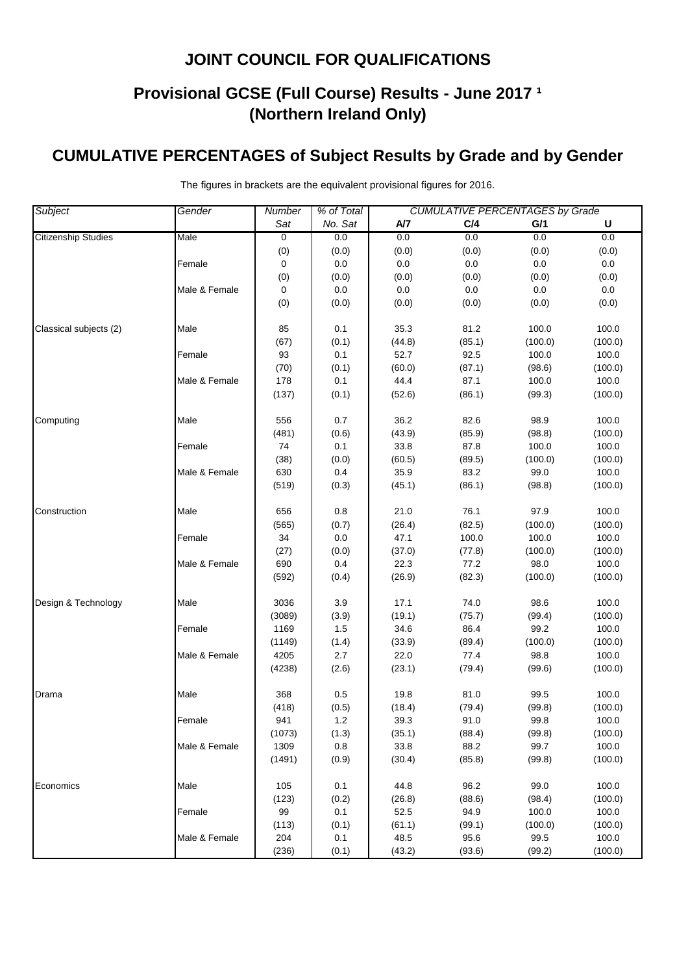# **Provisional GCSE (Full Course) Results - June 2017 <sup>1</sup> (Northern Ireland Only)**

### **CUMULATIVE PERCENTAGES of Subject Results by Grade and by Gender**

| Subject                    | Gender        | % of Total<br><b>CUMULATIVE PERCENTAGES by Grade</b><br>Number |         |        |         |         |         |  |
|----------------------------|---------------|----------------------------------------------------------------|---------|--------|---------|---------|---------|--|
|                            |               | Sat                                                            | No. Sat | A/7    | C/4     | G/1     | U       |  |
| <b>Citizenship Studies</b> | Male          | 0                                                              | 0.0     | 0.0    | 0.0     | 0.0     | 0.0     |  |
|                            |               | (0)                                                            | (0.0)   | (0.0)  | (0.0)   | (0.0)   | (0.0)   |  |
|                            | Female        | 0                                                              | 0.0     | 0.0    | 0.0     | 0.0     | 0.0     |  |
|                            |               | (0)                                                            | (0.0)   | (0.0)  | (0.0)   | (0.0)   | (0.0)   |  |
|                            | Male & Female | $\mathbf 0$                                                    | $0.0\,$ | 0.0    | $0.0\,$ | $0.0\,$ | $0.0\,$ |  |
|                            |               | (0)                                                            | (0.0)   | (0.0)  | (0.0)   | (0.0)   | (0.0)   |  |
| Classical subjects (2)     | Male          | 85                                                             | 0.1     | 35.3   | 81.2    | 100.0   | 100.0   |  |
|                            |               | (67)                                                           | (0.1)   | (44.8) | (85.1)  | (100.0) | (100.0) |  |
|                            | Female        | 93                                                             | 0.1     | 52.7   | 92.5    | 100.0   | 100.0   |  |
|                            |               | (70)                                                           | (0.1)   | (60.0) | (87.1)  | (98.6)  | (100.0) |  |
|                            | Male & Female | 178                                                            | 0.1     | 44.4   | 87.1    | 100.0   | 100.0   |  |
|                            |               | (137)                                                          | (0.1)   | (52.6) | (86.1)  | (99.3)  | (100.0) |  |
| Computing                  | Male          | 556                                                            | 0.7     | 36.2   | 82.6    | 98.9    | 100.0   |  |
|                            |               | (481)                                                          | (0.6)   | (43.9) | (85.9)  | (98.8)  | (100.0) |  |
|                            | Female        | 74                                                             | 0.1     | 33.8   | 87.8    | 100.0   | 100.0   |  |
|                            |               | (38)                                                           | (0.0)   | (60.5) | (89.5)  | (100.0) | (100.0) |  |
|                            | Male & Female | 630                                                            | 0.4     | 35.9   | 83.2    | 99.0    | 100.0   |  |
|                            |               | (519)                                                          | (0.3)   | (45.1) | (86.1)  | (98.8)  | (100.0) |  |
| Construction               | Male          | 656                                                            | 0.8     | 21.0   | 76.1    | 97.9    | 100.0   |  |
|                            |               | (565)                                                          | (0.7)   | (26.4) | (82.5)  | (100.0) | (100.0) |  |
|                            | Female        | 34                                                             | 0.0     | 47.1   | 100.0   | 100.0   | 100.0   |  |
|                            |               | (27)                                                           | (0.0)   | (37.0) | (77.8)  | (100.0) | (100.0) |  |
|                            | Male & Female | 690                                                            | 0.4     | 22.3   | 77.2    | 98.0    | 100.0   |  |
|                            |               | (592)                                                          | (0.4)   | (26.9) | (82.3)  | (100.0) | (100.0) |  |
| Design & Technology        | Male          | 3036                                                           | 3.9     | 17.1   | 74.0    | 98.6    | 100.0   |  |
|                            |               | (3089)                                                         | (3.9)   | (19.1) | (75.7)  | (99.4)  | (100.0) |  |
|                            | Female        | 1169                                                           | 1.5     | 34.6   | 86.4    | 99.2    | 100.0   |  |
|                            |               | (1149)                                                         | (1.4)   | (33.9) | (89.4)  | (100.0) | (100.0) |  |
|                            | Male & Female | 4205                                                           | 2.7     | 22.0   | 77.4    | 98.8    | 100.0   |  |
|                            |               | (4238)                                                         | (2.6)   | (23.1) | (79.4)  | (99.6)  | (100.0) |  |
| Drama                      | Male          | 368                                                            | $0.5\,$ | 19.8   | 81.0    | 99.5    | 100.0   |  |
|                            |               | (418)                                                          | (0.5)   | (18.4) | (79.4)  | (99.8)  | (100.0) |  |
|                            | Female        | 941                                                            | $1.2$   | 39.3   | 91.0    | 99.8    | 100.0   |  |
|                            |               | (1073)                                                         | (1.3)   | (35.1) | (88.4)  | (99.8)  | (100.0) |  |
|                            | Male & Female | 1309                                                           | 0.8     | 33.8   | 88.2    | 99.7    | 100.0   |  |
|                            |               | (1491)                                                         | (0.9)   | (30.4) | (85.8)  | (99.8)  | (100.0) |  |
| Economics                  | Male          | 105                                                            | 0.1     | 44.8   | 96.2    | 99.0    | 100.0   |  |
|                            |               | (123)                                                          | (0.2)   | (26.8) | (88.6)  | (98.4)  | (100.0) |  |
|                            | Female        | 99                                                             | 0.1     | 52.5   | 94.9    | 100.0   | 100.0   |  |
|                            |               | (113)                                                          | (0.1)   | (61.1) | (99.1)  | (100.0) | (100.0) |  |
|                            | Male & Female | 204                                                            | 0.1     | 48.5   | 95.6    | 99.5    | 100.0   |  |
|                            |               | (236)                                                          | (0.1)   | (43.2) | (93.6)  | (99.2)  | (100.0) |  |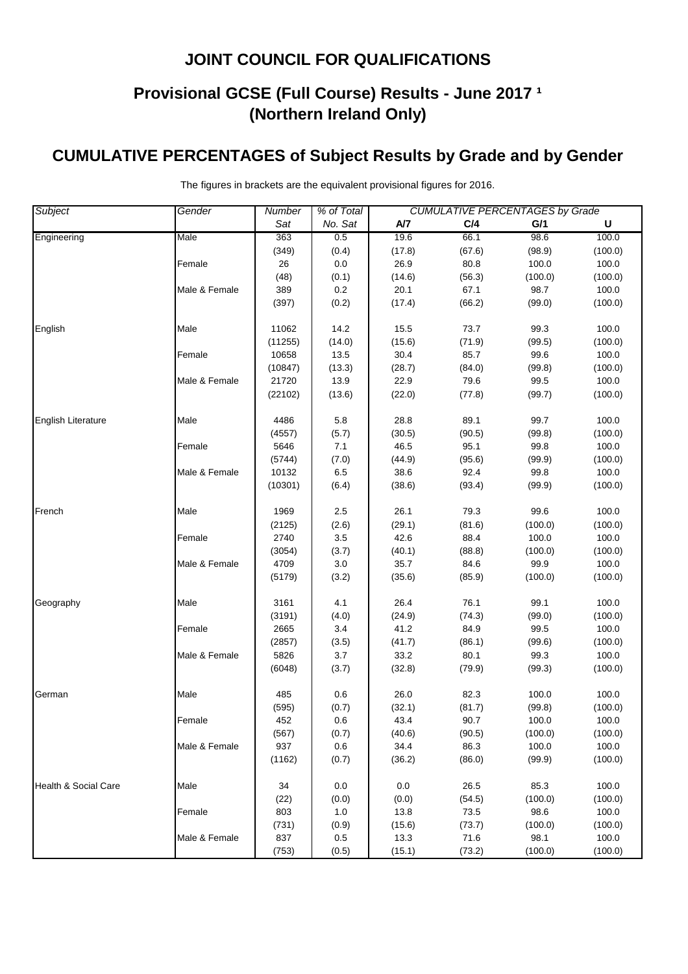# **Provisional GCSE (Full Course) Results - June 2017 <sup>1</sup> (Northern Ireland Only)**

### **CUMULATIVE PERCENTAGES of Subject Results by Grade and by Gender**

| Subject                   | Gender        | % of Total<br><b>CUMULATIVE PERCENTAGES by Grade</b><br>Number |         |        |        |         |             |
|---------------------------|---------------|----------------------------------------------------------------|---------|--------|--------|---------|-------------|
|                           |               | Sat                                                            | No. Sat | A/7    | C/4    | G/1     | $\mathsf U$ |
| Engineering               | Male          | 363                                                            | 0.5     | 19.6   | 66.1   | 98.6    | 100.0       |
|                           |               | (349)                                                          | (0.4)   | (17.8) | (67.6) | (98.9)  | (100.0)     |
|                           | Female        | 26                                                             | $0.0\,$ | 26.9   | 80.8   | 100.0   | 100.0       |
|                           |               | (48)                                                           | (0.1)   | (14.6) | (56.3) | (100.0) | (100.0)     |
|                           | Male & Female | 389                                                            | $0.2\,$ | 20.1   | 67.1   | 98.7    | 100.0       |
|                           |               | (397)                                                          | (0.2)   | (17.4) | (66.2) | (99.0)  | (100.0)     |
| English                   | Male          | 11062                                                          | 14.2    | 15.5   | 73.7   | 99.3    | 100.0       |
|                           |               | (11255)                                                        | (14.0)  | (15.6) | (71.9) | (99.5)  | (100.0)     |
|                           | Female        | 10658                                                          | 13.5    | 30.4   | 85.7   | 99.6    | 100.0       |
|                           |               | (10847)                                                        | (13.3)  | (28.7) | (84.0) | (99.8)  | (100.0)     |
|                           | Male & Female | 21720                                                          | 13.9    | 22.9   | 79.6   | 99.5    | 100.0       |
|                           |               | (22102)                                                        | (13.6)  | (22.0) | (77.8) | (99.7)  | (100.0)     |
| <b>English Literature</b> | Male          | 4486                                                           | 5.8     | 28.8   | 89.1   | 99.7    | 100.0       |
|                           |               | (4557)                                                         | (5.7)   | (30.5) | (90.5) | (99.8)  | (100.0)     |
|                           | Female        | 5646                                                           | 7.1     | 46.5   | 95.1   | 99.8    | 100.0       |
|                           |               | (5744)                                                         | (7.0)   | (44.9) | (95.6) | (99.9)  | (100.0)     |
|                           | Male & Female | 10132                                                          | $6.5\,$ | 38.6   | 92.4   | 99.8    | 100.0       |
|                           |               | (10301)                                                        | (6.4)   | (38.6) | (93.4) | (99.9)  | (100.0)     |
| French                    | Male          | 1969                                                           | 2.5     | 26.1   | 79.3   | 99.6    | 100.0       |
|                           |               | (2125)                                                         | (2.6)   | (29.1) | (81.6) | (100.0) | (100.0)     |
|                           | Female        | 2740                                                           | 3.5     | 42.6   | 88.4   | 100.0   | 100.0       |
|                           |               | (3054)                                                         | (3.7)   | (40.1) | (88.8) | (100.0) | (100.0)     |
|                           | Male & Female | 4709                                                           | 3.0     | 35.7   | 84.6   | 99.9    | 100.0       |
|                           |               | (5179)                                                         | (3.2)   | (35.6) | (85.9) | (100.0) | (100.0)     |
| Geography                 | Male          | 3161                                                           | 4.1     | 26.4   | 76.1   | 99.1    | 100.0       |
|                           |               | (3191)                                                         | (4.0)   | (24.9) | (74.3) | (99.0)  | (100.0)     |
|                           | Female        | 2665                                                           | 3.4     | 41.2   | 84.9   | 99.5    | 100.0       |
|                           |               | (2857)                                                         | (3.5)   | (41.7) | (86.1) | (99.6)  | (100.0)     |
|                           | Male & Female | 5826                                                           | $3.7\,$ | 33.2   | 80.1   | 99.3    | 100.0       |
|                           |               | (6048)                                                         | (3.7)   | (32.8) | (79.9) | (99.3)  | (100.0)     |
| German                    | Male          | 485                                                            | 0.6     | 26.0   | 82.3   | 100.0   | 100.0       |
|                           |               | (595)                                                          | (0.7)   | (32.1) | (81.7) | (99.8)  | (100.0)     |
|                           | Female        | 452                                                            | 0.6     | 43.4   | 90.7   | 100.0   | 100.0       |
|                           |               | (567)                                                          | (0.7)   | (40.6) | (90.5) | (100.0) | (100.0)     |
|                           | Male & Female | 937                                                            | 0.6     | 34.4   | 86.3   | 100.0   | 100.0       |
|                           |               | (1162)                                                         | (0.7)   | (36.2) | (86.0) | (99.9)  | (100.0)     |
| Health & Social Care      | Male          | 34                                                             | 0.0     | 0.0    | 26.5   | 85.3    | 100.0       |
|                           |               | (22)                                                           | (0.0)   | (0.0)  | (54.5) | (100.0) | (100.0)     |
|                           | Female        | 803                                                            | 1.0     | 13.8   | 73.5   | 98.6    | 100.0       |
|                           |               | (731)                                                          | (0.9)   | (15.6) | (73.7) | (100.0) | (100.0)     |
|                           | Male & Female | 837                                                            | 0.5     | 13.3   | 71.6   | 98.1    | 100.0       |
|                           |               | (753)                                                          | (0.5)   | (15.1) | (73.2) | (100.0) | (100.0)     |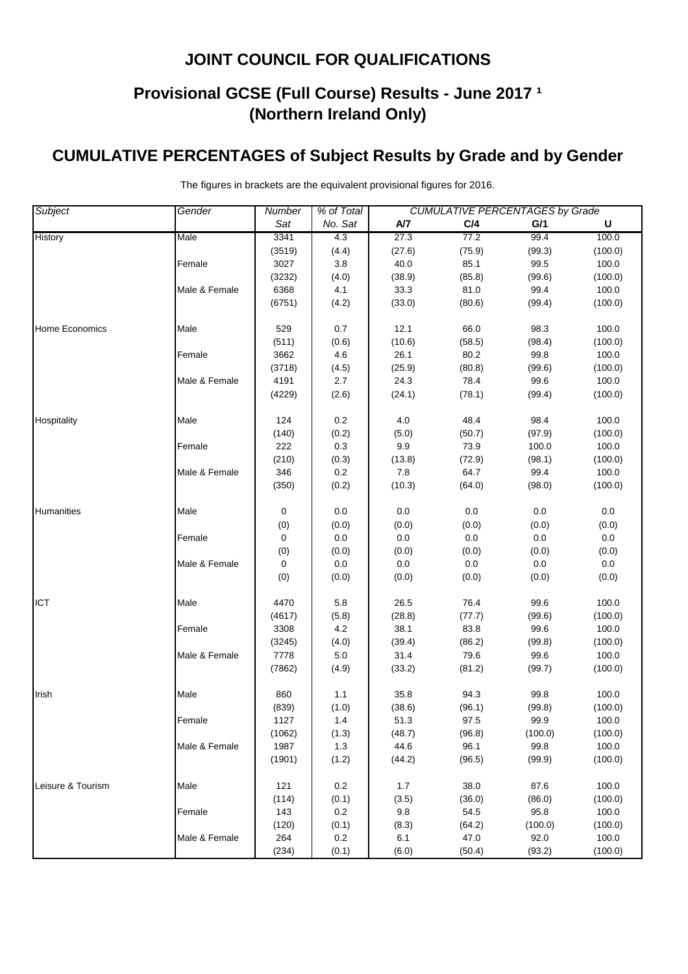# **Provisional GCSE (Full Course) Results - June 2017 <sup>1</sup> (Northern Ireland Only)**

### **CUMULATIVE PERCENTAGES of Subject Results by Grade and by Gender**

| Subject           | Gender        | % of Total<br><b>CUMULATIVE PERCENTAGES by Grade</b><br>Number |              |                |                |                 |                  |
|-------------------|---------------|----------------------------------------------------------------|--------------|----------------|----------------|-----------------|------------------|
|                   |               | Sat                                                            | No. Sat      | A/7            | C/4            | G/1             | U                |
| History           | Male          | 3341                                                           | 4.3          | 27.3           | 77.2           | 99.4            | 100.0            |
|                   |               | (3519)                                                         | (4.4)        | (27.6)         | (75.9)         | (99.3)          | (100.0)          |
|                   | Female        | 3027                                                           | 3.8          | 40.0           | 85.1           | 99.5            | 100.0            |
|                   |               | (3232)                                                         | (4.0)        | (38.9)         | (85.8)         | (99.6)          | (100.0)          |
|                   | Male & Female | 6368                                                           | 4.1          | 33.3           | 81.0           | 99.4            | 100.0            |
|                   |               | (6751)                                                         | (4.2)        | (33.0)         | (80.6)         | (99.4)          | (100.0)          |
|                   |               |                                                                |              |                |                |                 |                  |
| Home Economics    | Male          | 529                                                            | 0.7          | 12.1           | 66.0           | 98.3            | 100.0            |
|                   |               | (511)                                                          | (0.6)        | (10.6)         | (58.5)         | (98.4)          | (100.0)          |
|                   | Female        | 3662                                                           | 4.6          | 26.1           | 80.2           | 99.8            | 100.0            |
|                   |               | (3718)                                                         | (4.5)        | (25.9)         | (80.8)         | (99.6)          | (100.0)          |
|                   | Male & Female | 4191                                                           | 2.7          | 24.3           | 78.4           | 99.6            | 100.0            |
|                   |               | (4229)                                                         | (2.6)        | (24.1)         | (78.1)         | (99.4)          | (100.0)          |
| Hospitality       | Male          | 124                                                            | 0.2          | 4.0            | 48.4           | 98.4            | 100.0            |
|                   |               | (140)                                                          | (0.2)        | (5.0)          | (50.7)         | (97.9)          | (100.0)          |
|                   | Female        | 222                                                            | 0.3          | 9.9            | 73.9           | 100.0           | 100.0            |
|                   |               | (210)                                                          | (0.3)        | (13.8)         | (72.9)         | (98.1)          | (100.0)          |
|                   | Male & Female | 346                                                            | 0.2          | 7.8            | 64.7           | 99.4            | 100.0            |
|                   |               | (350)                                                          | (0.2)        | (10.3)         | (64.0)         | (98.0)          | (100.0)          |
|                   |               |                                                                |              |                |                |                 |                  |
| Humanities        | Male          | 0                                                              | 0.0          | 0.0            | 0.0            | 0.0             | 0.0              |
|                   |               | (0)                                                            | (0.0)        | (0.0)          | (0.0)          | (0.0)           | (0.0)            |
|                   | Female        | 0                                                              | 0.0          | $0.0\,$        | 0.0            | $0.0\,$         | 0.0              |
|                   |               | (0)                                                            | (0.0)        | (0.0)          | (0.0)          | (0.0)           | (0.0)            |
|                   | Male & Female | 0                                                              | 0.0          | 0.0            | 0.0            | 0.0             | 0.0              |
|                   |               | (0)                                                            | (0.0)        | (0.0)          | (0.0)          | (0.0)           | (0.0)            |
| <b>ICT</b>        | Male          | 4470                                                           | 5.8          | 26.5           | 76.4           | 99.6            | 100.0            |
|                   |               | (4617)                                                         | (5.8)        | (28.8)         | (77.7)         | (99.6)          | (100.0)          |
|                   | Female        | 3308                                                           | 4.2          | 38.1           | 83.8           | 99.6            | 100.0            |
|                   |               | (3245)                                                         | (4.0)        | (39.4)         | (86.2)         | (99.8)          | (100.0)          |
|                   | Male & Female | 7778                                                           | $5.0\,$      | 31.4           | 79.6           | 99.6            | 100.0            |
|                   |               | (7862)                                                         | (4.9)        | (33.2)         | (81.2)         | (99.7)          | (100.0)          |
|                   |               |                                                                |              |                |                |                 |                  |
| Irish             | Male          | 860                                                            | $1.1$        | 35.8           | 94.3           | 99.8            | 100.0            |
|                   |               | (839)                                                          | (1.0)<br>1.4 | (38.6)<br>51.3 | (96.1)         | (99.8)<br>99.9  | (100.0)          |
|                   | Female        | 1127<br>(1062)                                                 |              |                | 97.5<br>(96.8) |                 | 100.0<br>(100.0) |
|                   |               | 1987                                                           | (1.3)<br>1.3 | (48.7)<br>44.6 | 96.1           | (100.0)<br>99.8 | 100.0            |
|                   | Male & Female |                                                                |              |                |                |                 |                  |
|                   |               | (1901)                                                         | (1.2)        | (44.2)         | (96.5)         | (99.9)          | (100.0)          |
| Leisure & Tourism | Male          | 121                                                            | 0.2          | 1.7            | 38.0           | 87.6            | 100.0            |
|                   |               | (114)                                                          | (0.1)        | (3.5)          | (36.0)         | (86.0)          | (100.0)          |
|                   | Female        | 143                                                            | 0.2          | 9.8            | 54.5           | 95.8            | 100.0            |
|                   |               | (120)                                                          | (0.1)        | (8.3)          | (64.2)         | (100.0)         | (100.0)          |
|                   | Male & Female | 264                                                            | 0.2          | 6.1            | 47.0           | 92.0            | 100.0            |
|                   |               | (234)                                                          | (0.1)        | (6.0)          | (50.4)         | (93.2)          | (100.0)          |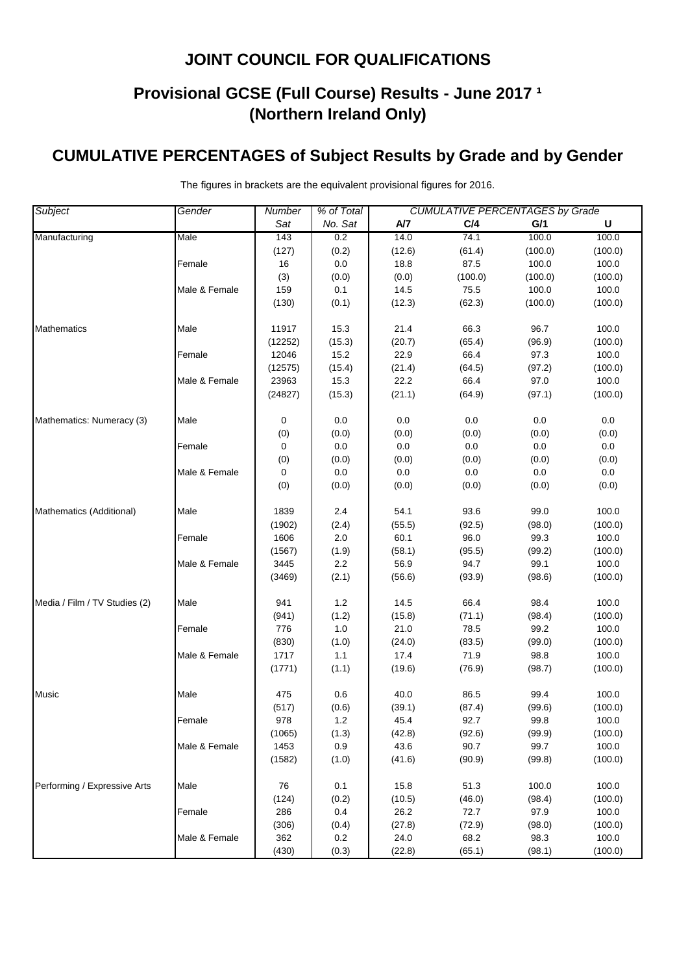# **Provisional GCSE (Full Course) Results - June 2017 <sup>1</sup> (Northern Ireland Only)**

### **CUMULATIVE PERCENTAGES of Subject Results by Grade and by Gender**

| Subject                       | Gender        | % of Total<br><b>CUMULATIVE PERCENTAGES by Grade</b><br>Number |              |        |         |         |         |
|-------------------------------|---------------|----------------------------------------------------------------|--------------|--------|---------|---------|---------|
|                               |               | Sat                                                            | No. Sat      | A/7    | C/4     | G/1     | U       |
| Manufacturing                 | Male          | 143                                                            | 0.2          | 14.0   | 74.1    | 100.0   | 100.0   |
|                               |               | (127)                                                          | (0.2)        | (12.6) | (61.4)  | (100.0) | (100.0) |
|                               | Female        | 16                                                             | 0.0          | 18.8   | 87.5    | 100.0   | 100.0   |
|                               |               | (3)                                                            | (0.0)        | (0.0)  | (100.0) | (100.0) | (100.0) |
|                               | Male & Female | 159                                                            | 0.1          | 14.5   | 75.5    | 100.0   | 100.0   |
|                               |               | (130)                                                          | (0.1)        | (12.3) | (62.3)  | (100.0) | (100.0) |
| <b>Mathematics</b>            | Male          | 11917                                                          | 15.3         | 21.4   | 66.3    | 96.7    | 100.0   |
|                               |               | (12252)                                                        | (15.3)       | (20.7) | (65.4)  | (96.9)  | (100.0) |
|                               | Female        | 12046                                                          | 15.2         | 22.9   | 66.4    | 97.3    | 100.0   |
|                               |               | (12575)                                                        | (15.4)       | (21.4) | (64.5)  | (97.2)  | (100.0) |
|                               | Male & Female | 23963                                                          | 15.3         | 22.2   | 66.4    | 97.0    | 100.0   |
|                               |               | (24827)                                                        | (15.3)       | (21.1) | (64.9)  | (97.1)  | (100.0) |
| Mathematics: Numeracy (3)     | Male          | 0                                                              | 0.0          | 0.0    | 0.0     | 0.0     | 0.0     |
|                               |               | (0)                                                            | (0.0)        | (0.0)  | (0.0)   | (0.0)   | (0.0)   |
|                               | Female        | 0                                                              | 0.0          | 0.0    | 0.0     | 0.0     | 0.0     |
|                               |               | (0)                                                            | (0.0)        | (0.0)  | (0.0)   | (0.0)   | (0.0)   |
|                               | Male & Female | 0                                                              | 0.0          | 0.0    | 0.0     | 0.0     | $0.0\,$ |
|                               |               | (0)                                                            | (0.0)        | (0.0)  | (0.0)   | (0.0)   | (0.0)   |
| Mathematics (Additional)      | Male          | 1839                                                           | 2.4          | 54.1   | 93.6    | 99.0    | 100.0   |
|                               |               | (1902)                                                         | (2.4)        | (55.5) | (92.5)  | (98.0)  | (100.0) |
|                               | Female        | 1606                                                           | 2.0          | 60.1   | 96.0    | 99.3    | 100.0   |
|                               |               | (1567)                                                         | (1.9)        | (58.1) | (95.5)  | (99.2)  | (100.0) |
|                               | Male & Female | 3445                                                           | 2.2          | 56.9   | 94.7    | 99.1    | 100.0   |
|                               |               | (3469)                                                         | (2.1)        | (56.6) | (93.9)  | (98.6)  | (100.0) |
| Media / Film / TV Studies (2) | Male          | 941                                                            | $1.2$        | 14.5   | 66.4    | 98.4    | 100.0   |
|                               |               | (941)                                                          | (1.2)        | (15.8) | (71.1)  | (98.4)  | (100.0) |
|                               | Female        | 776                                                            | 1.0          | 21.0   | 78.5    | 99.2    | 100.0   |
|                               |               | (830)                                                          | (1.0)        | (24.0) | (83.5)  | (99.0)  | (100.0) |
|                               | Male & Female | 1717                                                           | $1.1$        | 17.4   | 71.9    | 98.8    | 100.0   |
|                               |               | (1771)                                                         | (1.1)        | (19.6) | (76.9)  | (98.7)  | (100.0) |
| <b>Music</b>                  | Male          | 475                                                            | 0.6          | 40.0   | 86.5    | 99.4    | 100.0   |
|                               |               | (517)                                                          | (0.6)        | (39.1) | (87.4)  | (99.6)  | (100.0) |
|                               | Female        | 978                                                            | $1.2$        | 45.4   | 92.7    | 99.8    | 100.0   |
|                               |               | (1065)                                                         | (1.3)        | (42.8) | (92.6)  | (99.9)  | (100.0) |
|                               | Male & Female | 1453                                                           | 0.9          | 43.6   | 90.7    | 99.7    | 100.0   |
|                               |               | (1582)                                                         | (1.0)        | (41.6) | (90.9)  | (99.8)  | (100.0) |
| Performing / Expressive Arts  | Male          | 76                                                             | 0.1          | 15.8   | 51.3    | 100.0   | 100.0   |
|                               |               | (124)                                                          | (0.2)        | (10.5) | (46.0)  | (98.4)  | (100.0) |
|                               |               | 286                                                            | 0.4          | 26.2   | 72.7    | 97.9    | 100.0   |
|                               | Female        |                                                                |              | (27.8) | (72.9)  | (98.0)  | (100.0) |
|                               | Male & Female | (306)<br>362                                                   | (0.4)<br>0.2 | 24.0   | 68.2    | 98.3    | 100.0   |
|                               |               | (430)                                                          | (0.3)        | (22.8) | (65.1)  | (98.1)  | (100.0) |
|                               |               |                                                                |              |        |         |         |         |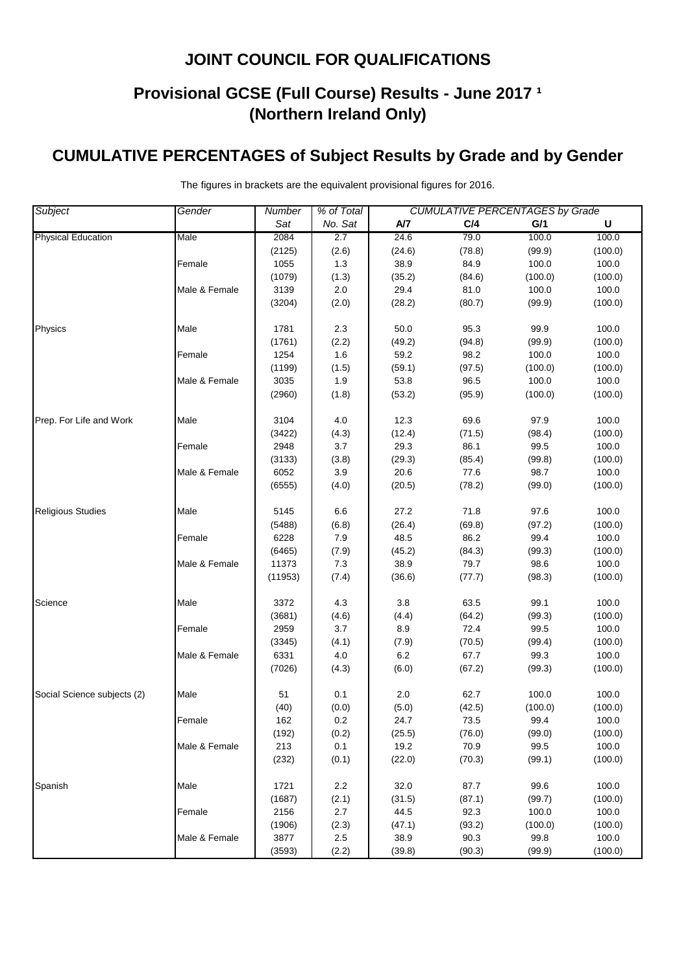# **Provisional GCSE (Full Course) Results - June 2017 <sup>1</sup> (Northern Ireland Only)**

### **CUMULATIVE PERCENTAGES of Subject Results by Grade and by Gender**

| <b>Subject</b>              | Gender        | % of Total<br><b>CUMULATIVE PERCENTAGES by Grade</b><br>Number |         |         |        |         |         |
|-----------------------------|---------------|----------------------------------------------------------------|---------|---------|--------|---------|---------|
|                             |               | Sat                                                            | No. Sat | A/7     | C/4    | G/1     | U       |
| <b>Physical Education</b>   | Male          | 2084                                                           | 2.7     | 24.6    | 79.0   | 100.0   | 100.0   |
|                             |               | (2125)                                                         | (2.6)   | (24.6)  | (78.8) | (99.9)  | (100.0) |
|                             | Female        | 1055                                                           | 1.3     | 38.9    | 84.9   | 100.0   | 100.0   |
|                             |               | (1079)                                                         | (1.3)   | (35.2)  | (84.6) | (100.0) | (100.0) |
|                             | Male & Female | 3139                                                           | $2.0\,$ | 29.4    | 81.0   | 100.0   | 100.0   |
|                             |               | (3204)                                                         | (2.0)   | (28.2)  | (80.7) | (99.9)  | (100.0) |
| Physics                     | Male          | 1781                                                           | 2.3     | 50.0    | 95.3   | 99.9    | 100.0   |
|                             |               | (1761)                                                         | (2.2)   | (49.2)  | (94.8) | (99.9)  | (100.0) |
|                             | Female        | 1254                                                           | 1.6     | 59.2    | 98.2   | 100.0   | 100.0   |
|                             |               | (1199)                                                         | (1.5)   | (59.1)  | (97.5) | (100.0) | (100.0) |
|                             | Male & Female | 3035                                                           | 1.9     | 53.8    | 96.5   | 100.0   | 100.0   |
|                             |               | (2960)                                                         | (1.8)   | (53.2)  | (95.9) | (100.0) | (100.0) |
| Prep. For Life and Work     | Male          | 3104                                                           | 4.0     | 12.3    | 69.6   | 97.9    | 100.0   |
|                             |               | (3422)                                                         | (4.3)   | (12.4)  | (71.5) | (98.4)  | (100.0) |
|                             | Female        | 2948                                                           | 3.7     | 29.3    | 86.1   | 99.5    | 100.0   |
|                             |               | (3133)                                                         | (3.8)   | (29.3)  | (85.4) | (99.8)  | (100.0) |
|                             | Male & Female | 6052                                                           | 3.9     | 20.6    | 77.6   | 98.7    | 100.0   |
|                             |               | (6555)                                                         | (4.0)   | (20.5)  | (78.2) | (99.0)  | (100.0) |
| <b>Religious Studies</b>    | Male          | 5145                                                           | 6.6     | 27.2    | 71.8   | 97.6    | 100.0   |
|                             |               | (5488)                                                         | (6.8)   | (26.4)  | (69.8) | (97.2)  | (100.0) |
|                             | Female        | 6228                                                           | 7.9     | 48.5    | 86.2   | 99.4    | 100.0   |
|                             |               | (6465)                                                         | (7.9)   | (45.2)  | (84.3) | (99.3)  | (100.0) |
|                             | Male & Female | 11373                                                          | 7.3     | 38.9    | 79.7   | 98.6    | 100.0   |
|                             |               | (11953)                                                        | (7.4)   | (36.6)  | (77.7) | (98.3)  | (100.0) |
| Science                     | Male          | 3372                                                           | 4.3     | 3.8     | 63.5   | 99.1    | 100.0   |
|                             |               | (3681)                                                         | (4.6)   | (4.4)   | (64.2) | (99.3)  | (100.0) |
|                             | Female        | 2959                                                           | 3.7     | 8.9     | 72.4   | 99.5    | 100.0   |
|                             |               | (3345)                                                         | (4.1)   | (7.9)   | (70.5) | (99.4)  | (100.0) |
|                             | Male & Female | 6331                                                           | 4.0     | $6.2\,$ | 67.7   | 99.3    | 100.0   |
|                             |               | (7026)                                                         | (4.3)   | (6.0)   | (67.2) | (99.3)  | (100.0) |
| Social Science subjects (2) | Male          | 51                                                             | 0.1     | 2.0     | 62.7   | 100.0   | 100.0   |
|                             |               | (40)                                                           | (0.0)   | (5.0)   | (42.5) | (100.0) | (100.0) |
|                             | Female        | 162                                                            | 0.2     | 24.7    | 73.5   | 99.4    | 100.0   |
|                             |               | (192)                                                          | (0.2)   | (25.5)  | (76.0) | (99.0)  | (100.0) |
|                             | Male & Female | 213                                                            | 0.1     | 19.2    | 70.9   | 99.5    | 100.0   |
|                             |               | (232)                                                          | (0.1)   | (22.0)  | (70.3) | (99.1)  | (100.0) |
| Spanish                     | Male          | 1721                                                           | 2.2     | 32.0    | 87.7   | 99.6    | 100.0   |
|                             |               | (1687)                                                         | (2.1)   | (31.5)  | (87.1) | (99.7)  | (100.0) |
|                             | Female        | 2156                                                           | $2.7\,$ | 44.5    | 92.3   | 100.0   | 100.0   |
|                             |               | (1906)                                                         | (2.3)   | (47.1)  | (93.2) | (100.0) | (100.0) |
|                             | Male & Female | 3877                                                           | 2.5     | 38.9    | 90.3   | 99.8    | 100.0   |
|                             |               | (3593)                                                         | (2.2)   | (39.8)  | (90.3) | (99.9)  | (100.0) |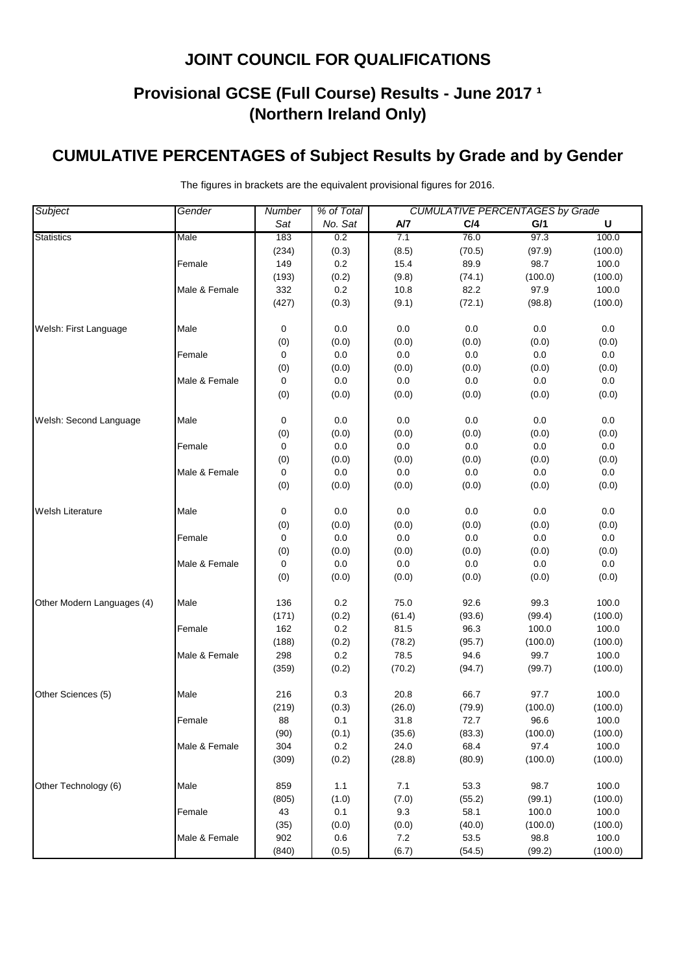# **Provisional GCSE (Full Course) Results - June 2017 <sup>1</sup> (Northern Ireland Only)**

### **CUMULATIVE PERCENTAGES of Subject Results by Grade and by Gender**

| Subject                    | Gender        | % of Total<br><b>CUMULATIVE PERCENTAGES by Grade</b><br>Number |         |        |         |         |         |
|----------------------------|---------------|----------------------------------------------------------------|---------|--------|---------|---------|---------|
|                            |               | Sat                                                            | No. Sat | A/7    | C/4     | G/1     | U       |
| <b>Statistics</b>          | Male          | 183                                                            | 0.2     | 7.1    | 76.0    | 97.3    | 100.0   |
|                            |               | (234)                                                          | (0.3)   | (8.5)  | (70.5)  | (97.9)  | (100.0) |
|                            | Female        | 149                                                            | 0.2     | 15.4   | 89.9    | 98.7    | 100.0   |
|                            |               | (193)                                                          | (0.2)   | (9.8)  | (74.1)  | (100.0) | (100.0) |
|                            | Male & Female | 332                                                            | 0.2     | 10.8   | 82.2    | 97.9    | 100.0   |
|                            |               | (427)                                                          | (0.3)   | (9.1)  | (72.1)  | (98.8)  | (100.0) |
| Welsh: First Language      | Male          | 0                                                              | 0.0     | 0.0    | $0.0\,$ | 0.0     | 0.0     |
|                            |               | (0)                                                            | (0.0)   | (0.0)  | (0.0)   | (0.0)   | (0.0)   |
|                            | Female        | 0                                                              | 0.0     | 0.0    | 0.0     | 0.0     | 0.0     |
|                            |               | (0)                                                            | (0.0)   | (0.0)  | (0.0)   | (0.0)   | (0.0)   |
|                            | Male & Female | 0                                                              | 0.0     | 0.0    | 0.0     | 0.0     | 0.0     |
|                            |               | (0)                                                            | (0.0)   | (0.0)  | (0.0)   | (0.0)   | (0.0)   |
| Welsh: Second Language     | Male          | 0                                                              | $0.0\,$ | 0.0    | $0.0\,$ | 0.0     | $0.0\,$ |
|                            |               | (0)                                                            | (0.0)   | (0.0)  | (0.0)   | (0.0)   | (0.0)   |
|                            | Female        | 0                                                              | $0.0\,$ | 0.0    | 0.0     | 0.0     | 0.0     |
|                            |               | (0)                                                            | (0.0)   | (0.0)  | (0.0)   | (0.0)   | (0.0)   |
|                            | Male & Female | 0                                                              | $0.0\,$ | 0.0    | 0.0     | 0.0     | $0.0\,$ |
|                            |               | (0)                                                            | (0.0)   | (0.0)  | (0.0)   | (0.0)   | (0.0)   |
| <b>Welsh Literature</b>    | Male          | 0                                                              | 0.0     | 0.0    | 0.0     | 0.0     | 0.0     |
|                            |               | (0)                                                            | (0.0)   | (0.0)  | (0.0)   | (0.0)   | (0.0)   |
|                            | Female        | 0                                                              | $0.0\,$ | 0.0    | 0.0     | 0.0     | 0.0     |
|                            |               | (0)                                                            | (0.0)   | (0.0)  | (0.0)   | (0.0)   | (0.0)   |
|                            | Male & Female | 0                                                              | 0.0     | 0.0    | $0.0\,$ | 0.0     | 0.0     |
|                            |               | (0)                                                            | (0.0)   | (0.0)  | (0.0)   | (0.0)   | (0.0)   |
| Other Modern Languages (4) | Male          | 136                                                            | 0.2     | 75.0   | 92.6    | 99.3    | 100.0   |
|                            |               | (171)                                                          | (0.2)   | (61.4) | (93.6)  | (99.4)  | (100.0) |
|                            | Female        | 162                                                            | 0.2     | 81.5   | 96.3    | 100.0   | 100.0   |
|                            |               | (188)                                                          | (0.2)   | (78.2) | (95.7)  | (100.0) | (100.0) |
|                            | Male & Female | 298                                                            | $0.2\,$ | 78.5   | 94.6    | 99.7    | 100.0   |
|                            |               | (359)                                                          | (0.2)   | (70.2) | (94.7)  | (99.7)  | (100.0) |
| Other Sciences (5)         | Male          | 216                                                            | 0.3     | 20.8   | 66.7    | 97.7    | 100.0   |
|                            |               | (219)                                                          | (0.3)   | (26.0) | (79.9)  | (100.0) | (100.0) |
|                            | Female        | 88                                                             | 0.1     | 31.8   | 72.7    | 96.6    | 100.0   |
|                            |               | (90)                                                           | (0.1)   | (35.6) | (83.3)  | (100.0) | (100.0) |
|                            | Male & Female | 304                                                            | 0.2     | 24.0   | 68.4    | 97.4    | 100.0   |
|                            |               | (309)                                                          | (0.2)   | (28.8) | (80.9)  | (100.0) | (100.0) |
| Other Technology (6)       | Male          | 859                                                            | 1.1     | 7.1    | 53.3    | 98.7    | 100.0   |
|                            |               | (805)                                                          | (1.0)   | (7.0)  | (55.2)  | (99.1)  | (100.0) |
|                            | Female        | 43                                                             | 0.1     | 9.3    | 58.1    | 100.0   | 100.0   |
|                            |               | (35)                                                           | (0.0)   | (0.0)  | (40.0)  | (100.0) | (100.0) |
|                            | Male & Female | 902                                                            | 0.6     | 7.2    | 53.5    | 98.8    | 100.0   |
|                            |               | (840)                                                          | (0.5)   | (6.7)  | (54.5)  | (99.2)  | (100.0) |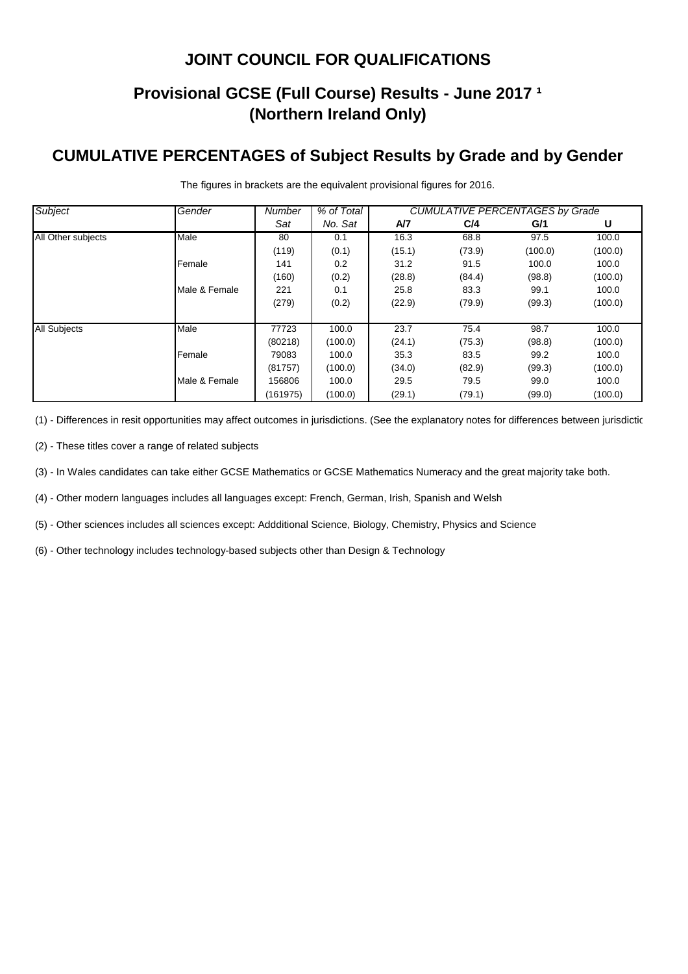## **Provisional GCSE (Full Course) Results - June 2017 <sup>1</sup> (Northern Ireland Only)**

#### **CUMULATIVE PERCENTAGES of Subject Results by Grade and by Gender**

| <b>Subject</b>      | Gender        | Number   | % of Total | <b>CUMULATIVE PERCENTAGES by Grade</b> |        |         |         |  |
|---------------------|---------------|----------|------------|----------------------------------------|--------|---------|---------|--|
|                     |               | Sat      | No. Sat    | A/7                                    | C/4    | G/1     | U       |  |
| All Other subjects  | Male          | 80       | 0.1        | 16.3                                   | 68.8   | 97.5    | 100.0   |  |
|                     |               | (119)    | (0.1)      | (15.1)                                 | (73.9) | (100.0) | (100.0) |  |
|                     | Female        | 141      | 0.2        | 31.2                                   | 91.5   | 100.0   | 100.0   |  |
|                     |               | (160)    | (0.2)      | (28.8)                                 | (84.4) | (98.8)  | (100.0) |  |
|                     | Male & Female | 221      | 0.1        | 25.8                                   | 83.3   | 99.1    | 100.0   |  |
|                     |               | (279)    | (0.2)      | (22.9)                                 | (79.9) | (99.3)  | (100.0) |  |
|                     |               |          |            |                                        |        |         |         |  |
| <b>All Subjects</b> | Male          | 77723    | 100.0      | 23.7                                   | 75.4   | 98.7    | 100.0   |  |
|                     |               | (80218)  | (100.0)    | (24.1)                                 | (75.3) | (98.8)  | (100.0) |  |
|                     | Female        | 79083    | 100.0      | 35.3                                   | 83.5   | 99.2    | 100.0   |  |
|                     |               | (81757)  | (100.0)    | (34.0)                                 | (82.9) | (99.3)  | (100.0) |  |
|                     | Male & Female | 156806   | 100.0      | 29.5                                   | 79.5   | 99.0    | 100.0   |  |
|                     |               | (161975) | (100.0)    | (29.1)                                 | (79.1) | (99.0)  | (100.0) |  |

The figures in brackets are the equivalent provisional figures for 2016.

(1) - Differences in resit opportunities may affect outcomes in jurisdictions. (See the explanatory notes for differences between jurisdictic

(2) - These titles cover a range of related subjects

(3) - In Wales candidates can take either GCSE Mathematics or GCSE Mathematics Numeracy and the great majority take both.

(4) - Other modern languages includes all languages except: French, German, Irish, Spanish and Welsh

(5) - Other sciences includes all sciences except: Addditional Science, Biology, Chemistry, Physics and Science

(6) - Other technology includes technology-based subjects other than Design & Technology